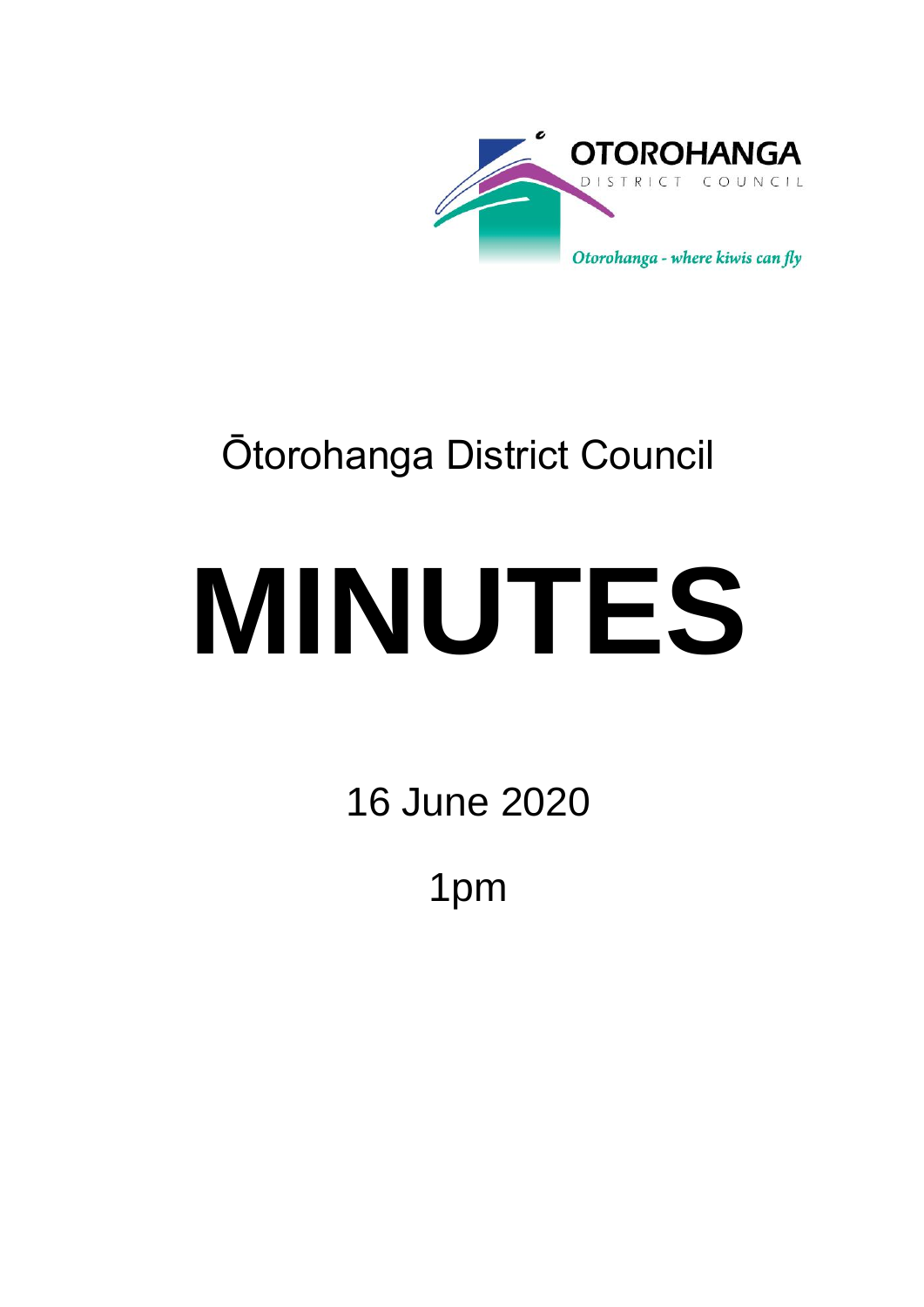

## Ōtorohanga District Council

# **MINUTES**

16 June 2020

1pm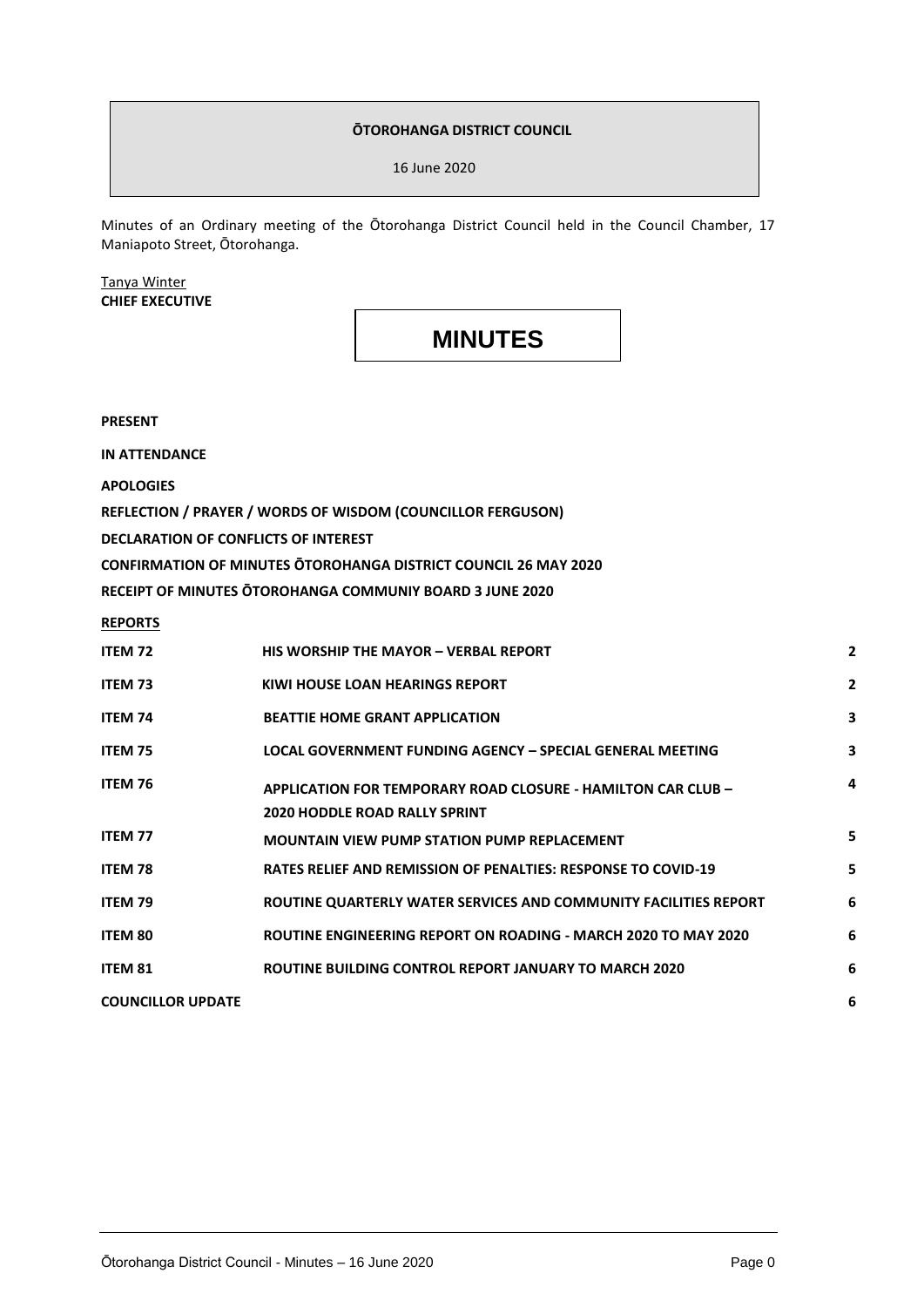#### **ŌTOROHANGA DISTRICT COUNCIL**

16 June 2020

Minutes of an Ordinary meeting of the Ōtorohanga District Council held in the Council Chamber, 17 Maniapoto Street, Ōtorohanga.

#### Tanya Winter **CHIEF EXECUTIVE**

### **MINUTES**

**PRESENT**

**IN ATTENDANCE**

**APOLOGIES**

**REFLECTION / PRAYER / WORDS OF WISDOM (COUNCILLOR FERGUSON)**

**DECLARATION OF CONFLICTS OF INTEREST**

**CONFIRMATION OF MINUTES ŌTOROHANGA DISTRICT COUNCIL 26 MAY 2020**

**RECEIPT OF MINUTES ŌTOROHANGA COMMUNIY BOARD 3 JUNE 2020**

**REPORTS**

| ITEM 72                  | HIS WORSHIP THE MAYOR - VERBAL REPORT                                                                       | $\mathbf{2}$   |
|--------------------------|-------------------------------------------------------------------------------------------------------------|----------------|
| <b>ITEM 73</b>           | KIWI HOUSE LOAN HEARINGS REPORT                                                                             | $\overline{2}$ |
| <b>ITEM 74</b>           | <b>BEATTIE HOME GRANT APPLICATION</b>                                                                       | 3              |
| ITEM 75                  | LOCAL GOVERNMENT FUNDING AGENCY - SPECIAL GENERAL MEETING                                                   | 3              |
| ITEM 76                  | <b>APPLICATION FOR TEMPORARY ROAD CLOSURE - HAMILTON CAR CLUB -</b><br><b>2020 HODDLE ROAD RALLY SPRINT</b> | 4              |
| <b>ITEM 77</b>           | <b>MOUNTAIN VIEW PUMP STATION PUMP REPLACEMENT</b>                                                          | 5              |
| <b>ITEM 78</b>           | <b>RATES RELIEF AND REMISSION OF PENALTIES: RESPONSE TO COVID-19</b>                                        | 5              |
| <b>ITEM 79</b>           | ROUTINE QUARTERLY WATER SERVICES AND COMMUNITY FACILITIES REPORT                                            | 6              |
| <b>ITEM 80</b>           | ROUTINE ENGINEERING REPORT ON ROADING - MARCH 2020 TO MAY 2020                                              | 6              |
| <b>ITEM 81</b>           | ROUTINE BUILDING CONTROL REPORT JANUARY TO MARCH 2020                                                       | 6              |
| <b>COUNCILLOR UPDATE</b> |                                                                                                             | 6              |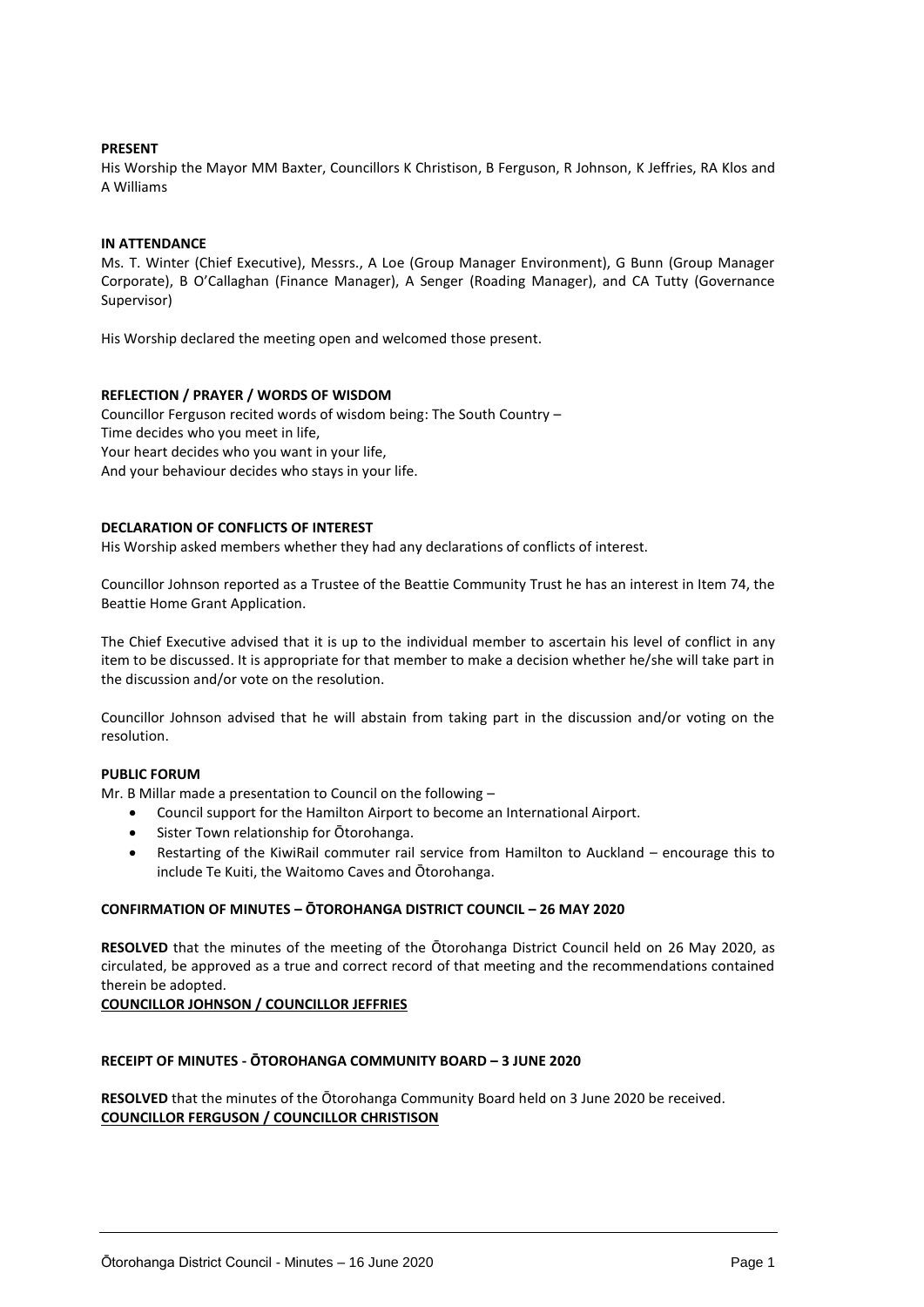#### **PRESENT**

His Worship the Mayor MM Baxter, Councillors K Christison, B Ferguson, R Johnson, K Jeffries, RA Klos and A Williams

#### **IN ATTENDANCE**

Ms. T. Winter (Chief Executive), Messrs., A Loe (Group Manager Environment), G Bunn (Group Manager Corporate), B O'Callaghan (Finance Manager), A Senger (Roading Manager), and CA Tutty (Governance Supervisor)

His Worship declared the meeting open and welcomed those present.

#### **REFLECTION / PRAYER / WORDS OF WISDOM**

Councillor Ferguson recited words of wisdom being: The South Country – Time decides who you meet in life, Your heart decides who you want in your life, And your behaviour decides who stays in your life.

#### **DECLARATION OF CONFLICTS OF INTEREST**

His Worship asked members whether they had any declarations of conflicts of interest.

Councillor Johnson reported as a Trustee of the Beattie Community Trust he has an interest in Item 74, the Beattie Home Grant Application.

The Chief Executive advised that it is up to the individual member to ascertain his level of conflict in any item to be discussed. It is appropriate for that member to make a decision whether he/she will take part in the discussion and/or vote on the resolution.

Councillor Johnson advised that he will abstain from taking part in the discussion and/or voting on the resolution.

#### **PUBLIC FORUM**

Mr. B Millar made a presentation to Council on the following –

- Council support for the Hamilton Airport to become an International Airport.
- Sister Town relationship for Ōtorohanga.
- Restarting of the KiwiRail commuter rail service from Hamilton to Auckland encourage this to include Te Kuiti, the Waitomo Caves and Ōtorohanga.

#### **CONFIRMATION OF MINUTES – ŌTOROHANGA DISTRICT COUNCIL – 26 MAY 2020**

**RESOLVED** that the minutes of the meeting of the Ōtorohanga District Council held on 26 May 2020, as circulated, be approved as a true and correct record of that meeting and the recommendations contained therein be adopted.

**COUNCILLOR JOHNSON / COUNCILLOR JEFFRIES**

#### **RECEIPT OF MINUTES - ŌTOROHANGA COMMUNITY BOARD – 3 JUNE 2020**

**RESOLVED** that the minutes of the Ōtorohanga Community Board held on 3 June 2020 be received. **COUNCILLOR FERGUSON / COUNCILLOR CHRISTISON**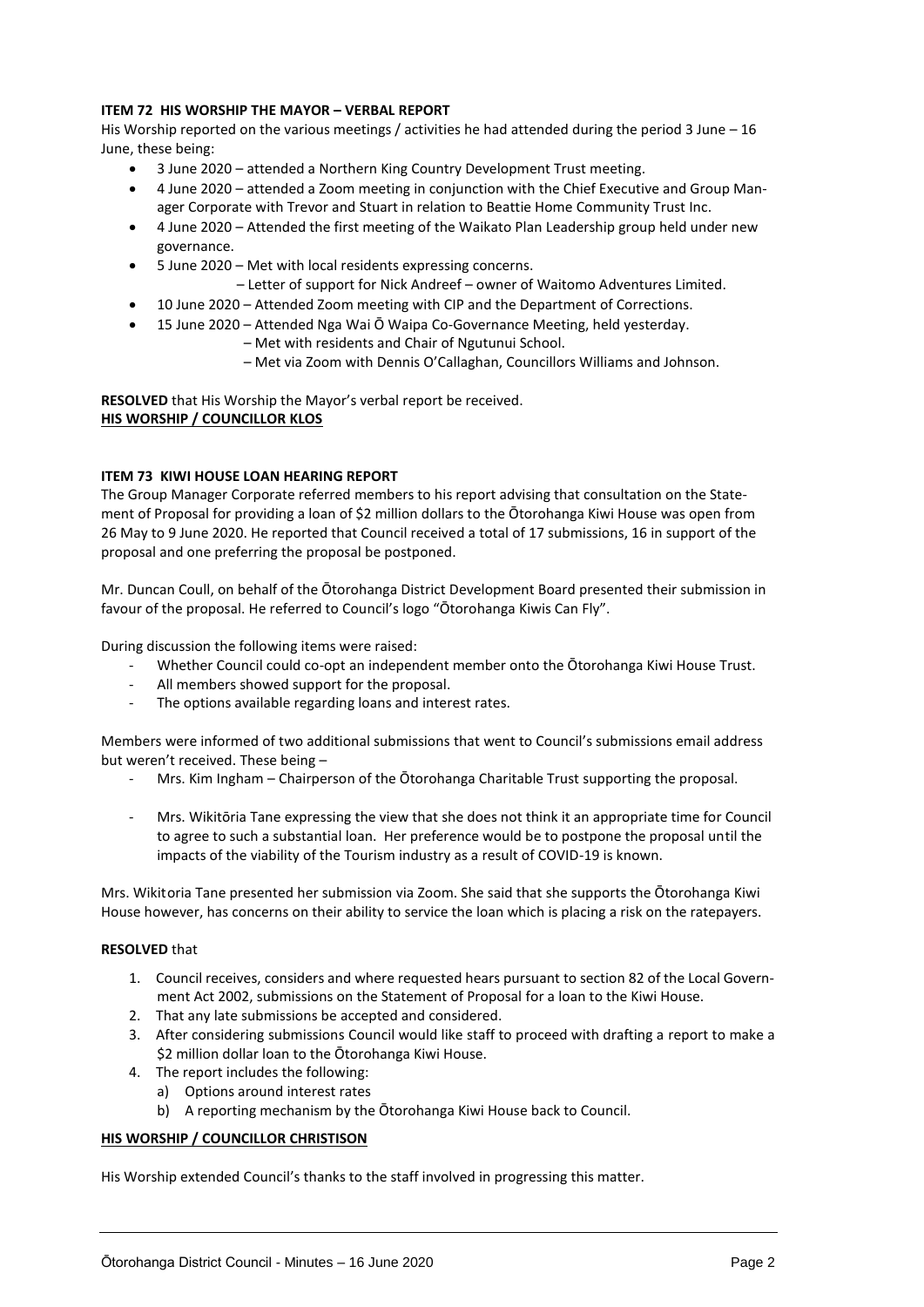#### **ITEM 72 HIS WORSHIP THE MAYOR – VERBAL REPORT**

His Worship reported on the various meetings / activities he had attended during the period 3 June – 16 June, these being:

- 3 June 2020 attended a Northern King Country Development Trust meeting.
- 4 June 2020 attended a Zoom meeting in conjunction with the Chief Executive and Group Manager Corporate with Trevor and Stuart in relation to Beattie Home Community Trust Inc.
- 4 June 2020 Attended the first meeting of the Waikato Plan Leadership group held under new governance.
- 5 June 2020 Met with local residents expressing concerns.
	- Letter of support for Nick Andreef owner of Waitomo Adventures Limited.
- 10 June 2020 Attended Zoom meeting with CIP and the Department of Corrections.
	- 15 June 2020 Attended Nga Wai Ō Waipa Co-Governance Meeting, held yesterday.
		- Met with residents and Chair of Ngutunui School.
			- Met via Zoom with Dennis O'Callaghan, Councillors Williams and Johnson.

**RESOLVED** that His Worship the Mayor's verbal report be received. **HIS WORSHIP / COUNCILLOR KLOS**

#### **ITEM 73 KIWI HOUSE LOAN HEARING REPORT**

The Group Manager Corporate referred members to his report advising that consultation on the Statement of Proposal for providing a loan of \$2 million dollars to the Ōtorohanga Kiwi House was open from 26 May to 9 June 2020. He reported that Council received a total of 17 submissions, 16 in support of the proposal and one preferring the proposal be postponed.

Mr. Duncan Coull, on behalf of the Ōtorohanga District Development Board presented their submission in favour of the proposal. He referred to Council's logo "Ōtorohanga Kiwis Can Fly".

During discussion the following items were raised:

- Whether Council could co-opt an independent member onto the Ōtorohanga Kiwi House Trust.
- All members showed support for the proposal.
- The options available regarding loans and interest rates.

Members were informed of two additional submissions that went to Council's submissions email address but weren't received. These being –

- Mrs. Kim Ingham Chairperson of the Ōtorohanga Charitable Trust supporting the proposal.
- Mrs. Wikitōria Tane expressing the view that she does not think it an appropriate time for Council to agree to such a substantial loan. Her preference would be to postpone the proposal until the impacts of the viability of the Tourism industry as a result of COVID-19 is known.

Mrs. Wikitoria Tane presented her submission via Zoom. She said that she supports the Ōtorohanga Kiwi House however, has concerns on their ability to service the loan which is placing a risk on the ratepayers.

#### **RESOLVED** that

- 1. Council receives, considers and where requested hears pursuant to section 82 of the Local Government Act 2002, submissions on the Statement of Proposal for a loan to the Kiwi House.
- 2. That any late submissions be accepted and considered.
- 3. After considering submissions Council would like staff to proceed with drafting a report to make a \$2 million dollar loan to the Ōtorohanga Kiwi House.
- 4. The report includes the following:
	- a) Options around interest rates
	- b) A reporting mechanism by the Ōtorohanga Kiwi House back to Council.

#### **HIS WORSHIP / COUNCILLOR CHRISTISON**

His Worship extended Council's thanks to the staff involved in progressing this matter.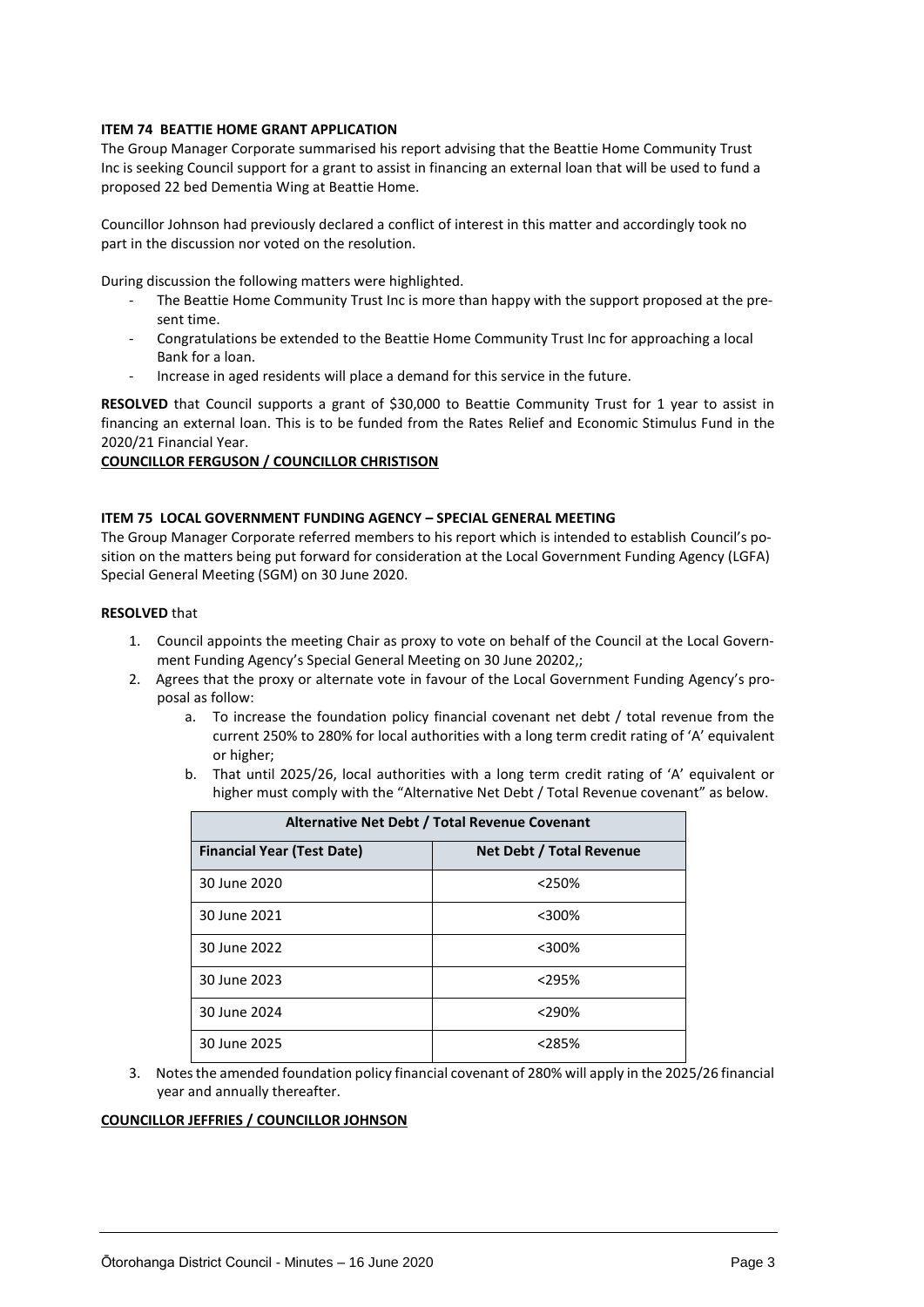#### **ITEM 74 BEATTIE HOME GRANT APPLICATION**

The Group Manager Corporate summarised his report advising that the Beattie Home Community Trust Inc is seeking Council support for a grant to assist in financing an external loan that will be used to fund a proposed 22 bed Dementia Wing at Beattie Home.

Councillor Johnson had previously declared a conflict of interest in this matter and accordingly took no part in the discussion nor voted on the resolution.

During discussion the following matters were highlighted.

- The Beattie Home Community Trust Inc is more than happy with the support proposed at the present time.
- Congratulations be extended to the Beattie Home Community Trust Inc for approaching a local Bank for a loan.
- Increase in aged residents will place a demand for this service in the future.

**RESOLVED** that Council supports a grant of \$30,000 to Beattie Community Trust for 1 year to assist in financing an external loan. This is to be funded from the Rates Relief and Economic Stimulus Fund in the 2020/21 Financial Year.

#### **COUNCILLOR FERGUSON / COUNCILLOR CHRISTISON**

#### **ITEM 75 LOCAL GOVERNMENT FUNDING AGENCY – SPECIAL GENERAL MEETING**

The Group Manager Corporate referred members to his report which is intended to establish Council's position on the matters being put forward for consideration at the Local Government Funding Agency (LGFA) Special General Meeting (SGM) on 30 June 2020.

#### **RESOLVED** that

- 1. Council appoints the meeting Chair as proxy to vote on behalf of the Council at the Local Government Funding Agency's Special General Meeting on 30 June 20202,;
- 2. Agrees that the proxy or alternate vote in favour of the Local Government Funding Agency's proposal as follow:
	- a. To increase the foundation policy financial covenant net debt / total revenue from the current 250% to 280% for local authorities with a long term credit rating of 'A' equivalent or higher;
	- b. That until 2025/26, local authorities with a long term credit rating of 'A' equivalent or higher must comply with the "Alternative Net Debt / Total Revenue covenant" as below.

| Alternative Net Debt / Total Revenue Covenant |                          |  |  |  |  |  |
|-----------------------------------------------|--------------------------|--|--|--|--|--|
| <b>Financial Year (Test Date)</b>             | Net Debt / Total Revenue |  |  |  |  |  |
| 30 June 2020                                  | $<$ 250%                 |  |  |  |  |  |
| 30 June 2021                                  | $<$ 300%                 |  |  |  |  |  |
| 30 June 2022                                  | $<$ 300%                 |  |  |  |  |  |
| 30 June 2023                                  | $<$ 295%                 |  |  |  |  |  |
| 30 June 2024                                  | $<$ 290%                 |  |  |  |  |  |
| 30 June 2025                                  | $< 285\%$                |  |  |  |  |  |

3. Notes the amended foundation policy financial covenant of 280% will apply in the 2025/26 financial year and annually thereafter.

#### **COUNCILLOR JEFFRIES / COUNCILLOR JOHNSON**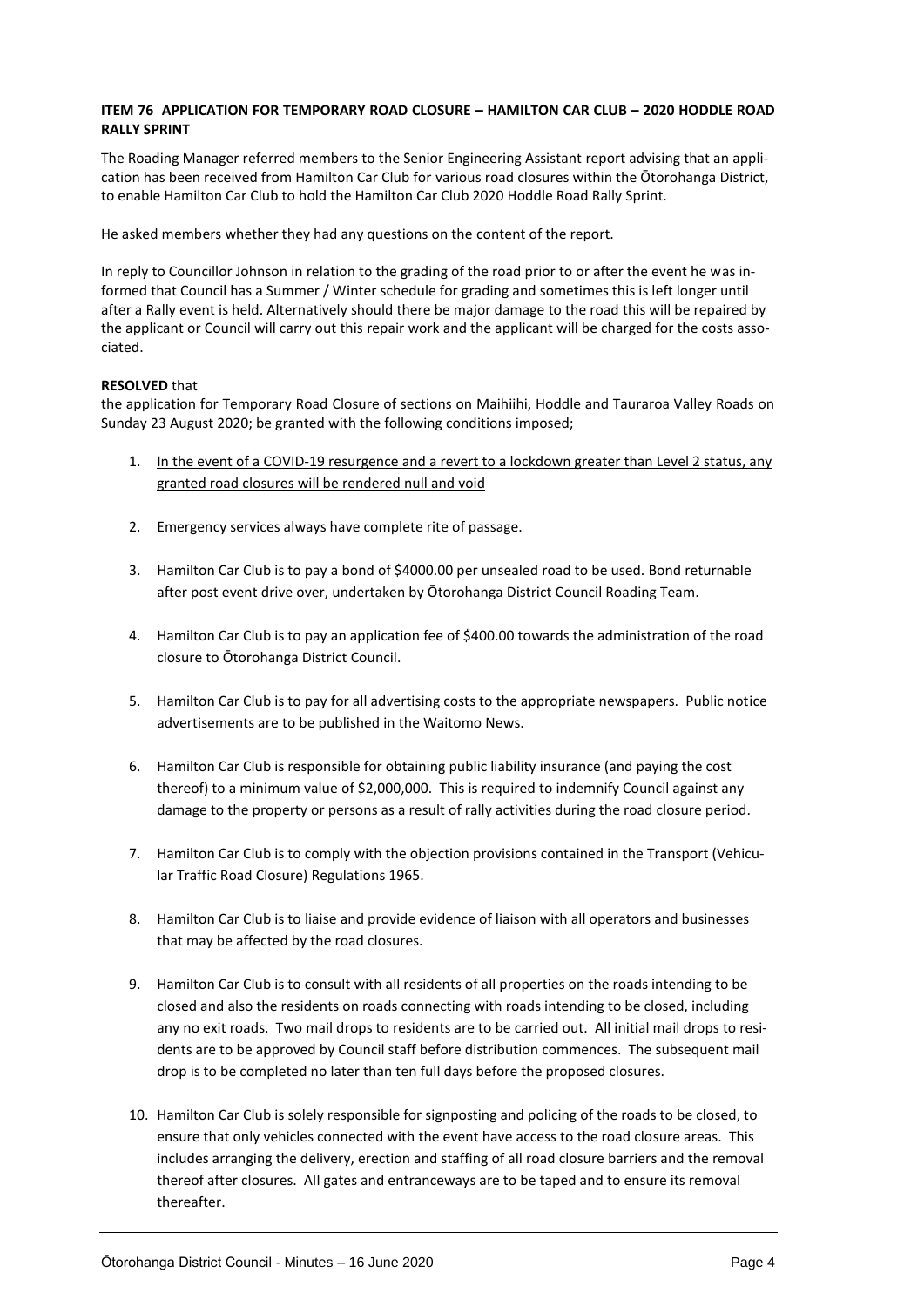#### **ITEM 76 APPLICATION FOR TEMPORARY ROAD CLOSURE – HAMILTON CAR CLUB – 2020 HODDLE ROAD RALLY SPRINT**

The Roading Manager referred members to the Senior Engineering Assistant report advising that an application has been received from Hamilton Car Club for various road closures within the Ōtorohanga District, to enable Hamilton Car Club to hold the Hamilton Car Club 2020 Hoddle Road Rally Sprint.

He asked members whether they had any questions on the content of the report.

In reply to Councillor Johnson in relation to the grading of the road prior to or after the event he was informed that Council has a Summer / Winter schedule for grading and sometimes this is left longer until after a Rally event is held. Alternatively should there be major damage to the road this will be repaired by the applicant or Council will carry out this repair work and the applicant will be charged for the costs associated.

#### **RESOLVED** that

the application for Temporary Road Closure of sections on Maihiihi, Hoddle and Tauraroa Valley Roads on Sunday 23 August 2020; be granted with the following conditions imposed;

- 1. In the event of a COVID-19 resurgence and a revert to a lockdown greater than Level 2 status, any granted road closures will be rendered null and void
- 2. Emergency services always have complete rite of passage.
- 3. Hamilton Car Club is to pay a bond of \$4000.00 per unsealed road to be used. Bond returnable after post event drive over, undertaken by Ōtorohanga District Council Roading Team.
- 4. Hamilton Car Club is to pay an application fee of \$400.00 towards the administration of the road closure to Ōtorohanga District Council.
- 5. Hamilton Car Club is to pay for all advertising costs to the appropriate newspapers. Public notice advertisements are to be published in the Waitomo News.
- 6. Hamilton Car Club is responsible for obtaining public liability insurance (and paying the cost thereof) to a minimum value of \$2,000,000. This is required to indemnify Council against any damage to the property or persons as a result of rally activities during the road closure period.
- 7. Hamilton Car Club is to comply with the objection provisions contained in the Transport (Vehicular Traffic Road Closure) Regulations 1965.
- 8. Hamilton Car Club is to liaise and provide evidence of liaison with all operators and businesses that may be affected by the road closures.
- 9. Hamilton Car Club is to consult with all residents of all properties on the roads intending to be closed and also the residents on roads connecting with roads intending to be closed, including any no exit roads. Two mail drops to residents are to be carried out. All initial mail drops to residents are to be approved by Council staff before distribution commences. The subsequent mail drop is to be completed no later than ten full days before the proposed closures.
- 10. Hamilton Car Club is solely responsible for signposting and policing of the roads to be closed, to ensure that only vehicles connected with the event have access to the road closure areas. This includes arranging the delivery, erection and staffing of all road closure barriers and the removal thereof after closures. All gates and entranceways are to be taped and to ensure its removal thereafter.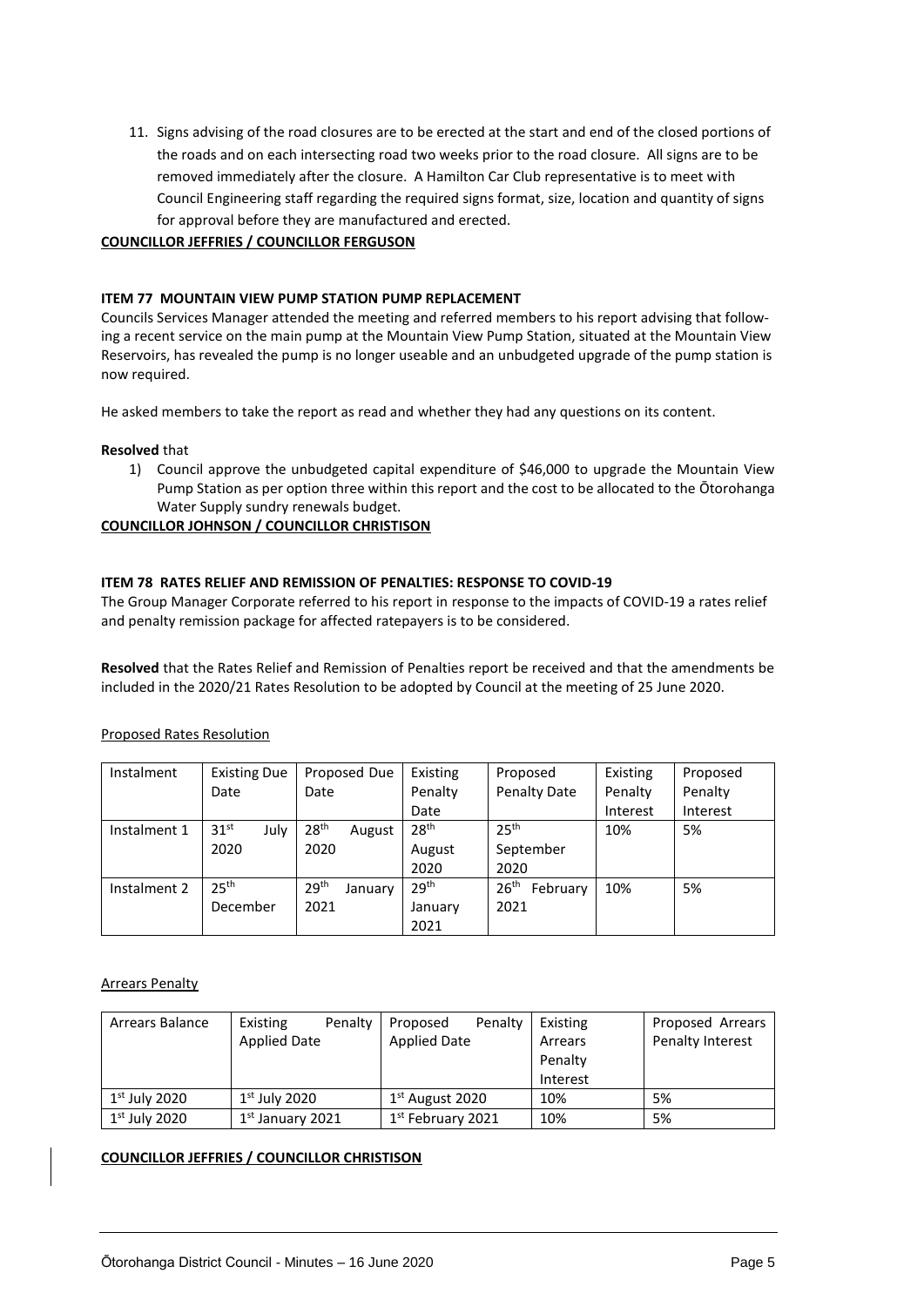11. Signs advising of the road closures are to be erected at the start and end of the closed portions of the roads and on each intersecting road two weeks prior to the road closure. All signs are to be removed immediately after the closure. A Hamilton Car Club representative is to meet with Council Engineering staff regarding the required signs format, size, location and quantity of signs for approval before they are manufactured and erected.

#### **COUNCILLOR JEFFRIES / COUNCILLOR FERGUSON**

#### **ITEM 77 MOUNTAIN VIEW PUMP STATION PUMP REPLACEMENT**

Councils Services Manager attended the meeting and referred members to his report advising that following a recent service on the main pump at the Mountain View Pump Station, situated at the Mountain View Reservoirs, has revealed the pump is no longer useable and an unbudgeted upgrade of the pump station is now required.

He asked members to take the report as read and whether they had any questions on its content.

#### **Resolved** that

1) Council approve the unbudgeted capital expenditure of \$46,000 to upgrade the Mountain View Pump Station as per option three within this report and the cost to be allocated to the Ōtorohanga Water Supply sundry renewals budget.

#### **COUNCILLOR JOHNSON / COUNCILLOR CHRISTISON**

#### **ITEM 78 RATES RELIEF AND REMISSION OF PENALTIES: RESPONSE TO COVID-19**

The Group Manager Corporate referred to his report in response to the impacts of COVID-19 a rates relief and penalty remission package for affected ratepayers is to be considered.

**Resolved** that the Rates Relief and Remission of Penalties report be received and that the amendments be included in the 2020/21 Rates Resolution to be adopted by Council at the meeting of 25 June 2020.

| Instalment   | <b>Existing Due</b>      | Proposed Due                | Existing         | Proposed                     | Existing | Proposed |
|--------------|--------------------------|-----------------------------|------------------|------------------------------|----------|----------|
|              | Date                     | Date                        | Penalty          | Penalty Date                 | Penalty  | Penalty  |
|              |                          |                             | Date             |                              | Interest | Interest |
| Instalment 1 | 31 <sup>st</sup><br>July | 28 <sup>th</sup><br>August  | 28 <sup>th</sup> | 25 <sup>th</sup>             | 10%      | 5%       |
|              | 2020                     | 2020                        | August           | September                    |          |          |
|              |                          |                             | 2020             | 2020                         |          |          |
| Instalment 2 | 25 <sup>th</sup>         | 29 <sup>th</sup><br>January | 29 <sup>th</sup> | 26 <sup>th</sup><br>February | 10%      | 5%       |
|              | December                 | 2021                        | January          | 2021                         |          |          |
|              |                          |                             | 2021             |                              |          |          |

#### Proposed Rates Resolution

#### Arrears Penalty

| Arrears Balance | Penalty<br>Existing | Penalty<br>Proposed | Existing | Proposed Arrears |
|-----------------|---------------------|---------------------|----------|------------------|
|                 | <b>Applied Date</b> | <b>Applied Date</b> | Arrears  | Penalty Interest |
|                 |                     |                     | Penalty  |                  |
|                 |                     |                     | Interest |                  |
| $1st$ July 2020 | $1st$ July 2020     | $1st$ August 2020   | 10%      | 5%               |
| $1st$ July 2020 | $1st$ January 2021  | $1st$ February 2021 | 10%      | 5%               |

#### **COUNCILLOR JEFFRIES / COUNCILLOR CHRISTISON**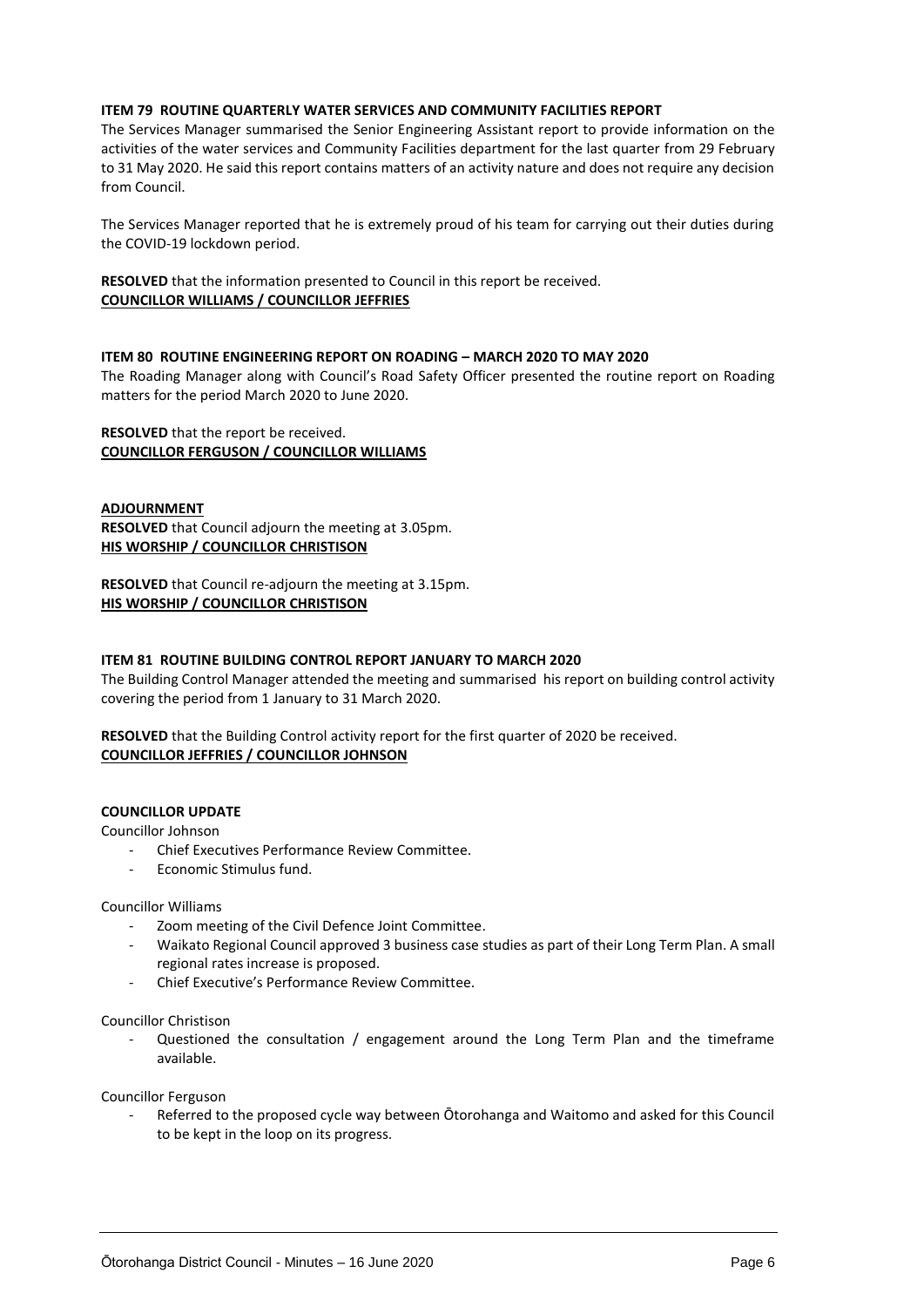#### **ITEM 79 ROUTINE QUARTERLY WATER SERVICES AND COMMUNITY FACILITIES REPORT**

The Services Manager summarised the Senior Engineering Assistant report to provide information on the activities of the water services and Community Facilities department for the last quarter from 29 February to 31 May 2020. He said this report contains matters of an activity nature and does not require any decision from Council.

The Services Manager reported that he is extremely proud of his team for carrying out their duties during the COVID-19 lockdown period.

**RESOLVED** that the information presented to Council in this report be received. **COUNCILLOR WILLIAMS / COUNCILLOR JEFFRIES**

#### **ITEM 80 ROUTINE ENGINEERING REPORT ON ROADING – MARCH 2020 TO MAY 2020**

The Roading Manager along with Council's Road Safety Officer presented the routine report on Roading matters for the period March 2020 to June 2020.

#### **RESOLVED** that the report be received. **COUNCILLOR FERGUSON / COUNCILLOR WILLIAMS**

#### **ADJOURNMENT**

**RESOLVED** that Council adjourn the meeting at 3.05pm. **HIS WORSHIP / COUNCILLOR CHRISTISON**

**RESOLVED** that Council re-adjourn the meeting at 3.15pm. **HIS WORSHIP / COUNCILLOR CHRISTISON**

#### **ITEM 81 ROUTINE BUILDING CONTROL REPORT JANUARY TO MARCH 2020**

The Building Control Manager attended the meeting and summarised his report on building control activity covering the period from 1 January to 31 March 2020.

**RESOLVED** that the Building Control activity report for the first quarter of 2020 be received. **COUNCILLOR JEFFRIES / COUNCILLOR JOHNSON**

#### **COUNCILLOR UPDATE**

Councillor Johnson

- Chief Executives Performance Review Committee.
- Economic Stimulus fund.

#### Councillor Williams

- Zoom meeting of the Civil Defence Joint Committee.
- Waikato Regional Council approved 3 business case studies as part of their Long Term Plan. A small regional rates increase is proposed.
- Chief Executive's Performance Review Committee.

#### Councillor Christison

Questioned the consultation / engagement around the Long Term Plan and the timeframe available.

Councillor Ferguson

- Referred to the proposed cycle way between Ōtorohanga and Waitomo and asked for this Council to be kept in the loop on its progress.